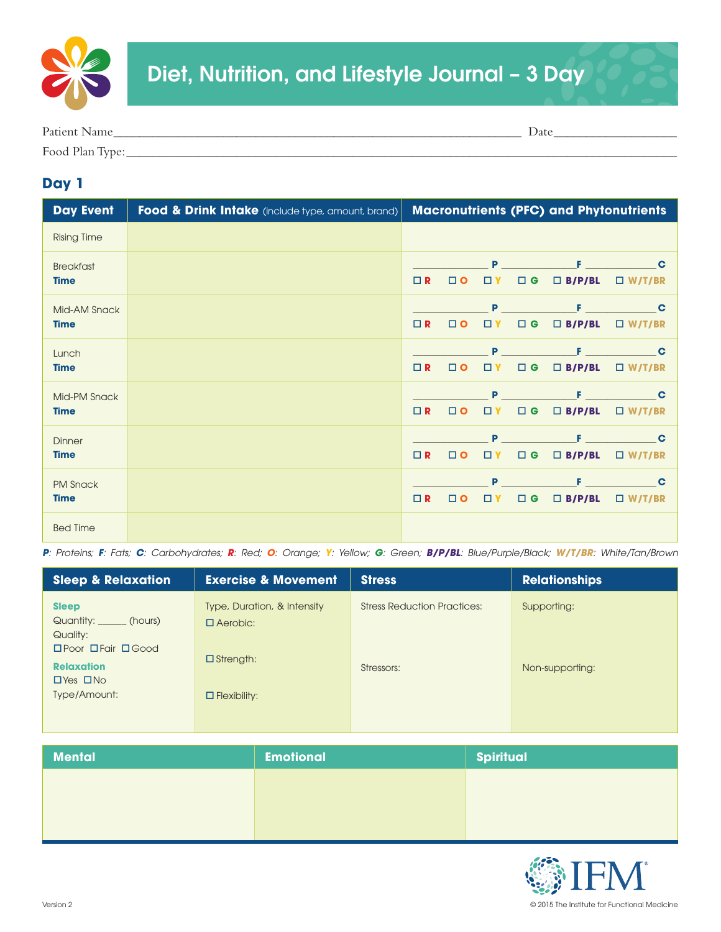

| Patient Name    | $\Delta$ Date |
|-----------------|---------------|
| Food Plan Type: |               |

## **Day 1**

| <b>Day Event</b>   | <b>Food &amp; Drink Intake</b> (include type, amount, brand) |          |          |          |                    | <b>Macronutrients (PFC) and Phytonutrients</b> |               |
|--------------------|--------------------------------------------------------------|----------|----------|----------|--------------------|------------------------------------------------|---------------|
| <b>Rising Time</b> |                                                              |          |          |          |                    |                                                |               |
| <b>Breakfast</b>   |                                                              |          |          | P        |                    | F.                                             | $\mathbf c$   |
| <b>Time</b>        |                                                              | $\Box$ R | $\Box$ O | $\Box$ Y | $\square$ G        | $\Box$ B/P/BL                                  | $\Box$ W/T/BR |
| Mid-AM Snack       |                                                              |          |          |          | <b>Participate</b> | F.                                             | $\mathbf c$   |
| <b>Time</b>        |                                                              | $\Box$ R | $\Box$ O | $\Box$ Y | $\square$ G        | $\Box$ B/P/BL                                  | $\Box$ W/T/BR |
| Lunch              |                                                              |          |          | P        |                    | F.                                             | $\mathbf c$   |
| <b>Time</b>        |                                                              | $\Box$ R | $\Box$ O | □ Y      | $\Box$ G           | $\Box$ B/P/BL                                  | $\Box$ W/T/BR |
| Mid-PM Snack       |                                                              |          |          | Þ        |                    |                                                | $\mathbf c$   |
| <b>Time</b>        |                                                              | $\Box$ R | $\Box$ O | □ Y      | $\Box$ G           | $\Box$ B/P/BL                                  | $\Box$ W/T/BR |
| <b>Dinner</b>      |                                                              |          |          | Þ        |                    | в                                              | $\mathbf c$   |
| <b>Time</b>        |                                                              | $\Box$ R | $\Box$ O | $\Box$ Y | $\Box$ G           | $\Box$ B/P/BL                                  | $\Box$ W/T/BR |
| <b>PM Snack</b>    |                                                              |          |          | P        |                    | F.                                             | $\mathbf C$   |
| <b>Time</b>        |                                                              | $\Box$ R | $\Box$ O | $\Box$ Y | $\square$ G        | $\Box$ B/P/BL                                  | $\Box$ W/T/BR |
| <b>Bed Time</b>    |                                                              |          |          |          |                    |                                                |               |

P: Proteins; F: Fats; C: Carbohydrates; R: Red; O: Orange; Y: Yellow; G: Green; B/P/BL: Blue/Purple/Black; W/T/BR: White/Tan/Brown

| <b>Sleep &amp; Relaxation</b>                                                               | <b>Exercise &amp; Movement</b>                 | <b>Stress</b>                      | <b>Relationships</b> |
|---------------------------------------------------------------------------------------------|------------------------------------------------|------------------------------------|----------------------|
| <b>Sleep</b><br>Quantity: ______ (hours)<br>Quality:<br>$\Box$ Poor $\Box$ Fair $\Box$ Good | Type, Duration, & Intensity<br>$\Box$ Aerobic: | <b>Stress Reduction Practices:</b> | Supporting:          |
| <b>Relaxation</b><br>$\Box$ Yes $\Box$ No                                                   | $\Box$ Strength:                               | Stressors:                         | Non-supporting:      |
| Type/Amount:                                                                                | $\Box$ Flexibility:                            |                                    |                      |

| <b>Mental</b> | <b>Emotional</b> | <b>Spiritual</b> |
|---------------|------------------|------------------|
|               |                  |                  |
|               |                  |                  |
|               |                  |                  |

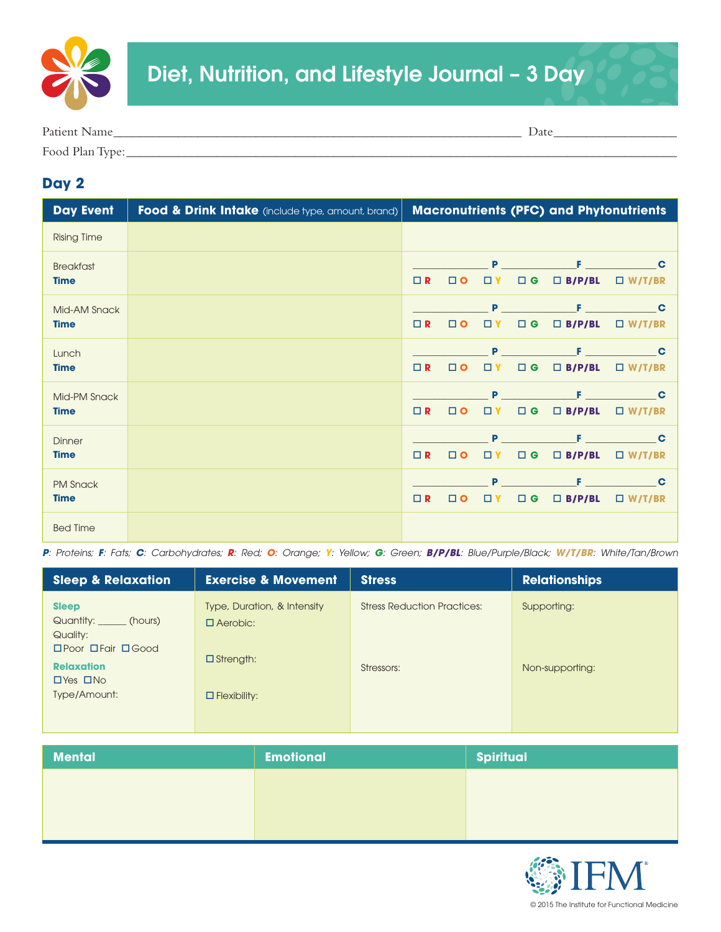

| Patient<br>Natile | Date |
|-------------------|------|
| Food Plan Type:   |      |

## **Day 2**

| <b>Day Event</b>                | Food & Drink Intake (include type, amount, brand) |          |           |               |             | <b>Macronutrients (PFC) and Phytonutrients</b> |                              |
|---------------------------------|---------------------------------------------------|----------|-----------|---------------|-------------|------------------------------------------------|------------------------------|
| <b>Rising Time</b>              |                                                   |          |           |               |             |                                                |                              |
| <b>Breakfast</b><br><b>Time</b> |                                                   | $\Box$ R | $\Box$ O  | P<br>$\Box$ Y | $\Box$ G    | $\Box$ B/P/BL                                  | $\mathbf C$<br>$\Box$ W/T/BR |
| Mid-AM Snack<br><b>Time</b>     |                                                   | $\Box$ R | $\Box$ O  | P<br>$\Box$ Y | $\square$ G | F<br>$\Box$ B/P/BL                             | C<br>$\Box$ W/T/BR           |
| Lunch<br><b>Time</b>            |                                                   | $\Box$ R | $\Box$ O  | P<br>□ Y      | $\Box$ G    | $\Box$ B/P/BL                                  | $\mathbf c$<br>$\Box$ W/T/BR |
| Mid-PM Snack<br><b>Time</b>     |                                                   | $\Box$ R | $\Box$ O  | Þ<br>□ Y      | $\Box$ G    | $\Box$ B/P/BL                                  | C<br>$\Box$ W/T/BR           |
| <b>Dinner</b><br><b>Time</b>    |                                                   | $\Box$ R | $\square$ | Þ<br>$\Box$ Y | $\Box$ G    | $\Box$ B/P/BL                                  | C<br>$\Box$ W/T/BR           |
| <b>PM Snack</b><br><b>Time</b>  |                                                   | $\Box$ R | $\Box$ O  | P<br>□ Y      | $\square$ G | F<br>$\Box$ B/P/BL                             | $\mathbf C$<br>$\Box$ W/T/BR |
| <b>Bed Time</b>                 |                                                   |          |           |               |             |                                                |                              |

P: Proteins; F: Fats; C: Carbohydrates; R: Red; O: Orange; Y: Yellow; G: Green; B/P/BL: Blue/Purple/Black; W/T/BR: White/Tan/Brown

| <b>Sleep &amp; Relaxation</b>                                                                | <b>Exercise &amp; Movement</b>                 | <b>Stress</b>                      | <b>Relationships</b> |
|----------------------------------------------------------------------------------------------|------------------------------------------------|------------------------------------|----------------------|
| <b>Sleep</b><br>Quantity: _______ (hours)<br>Quality:<br>$\Box$ Poor $\Box$ Fair $\Box$ Good | Type, Duration, & Intensity<br>$\Box$ Aerobic: | <b>Stress Reduction Practices:</b> | Supporting:          |
| <b>Relaxation</b><br>$\Box$ Yes $\Box$ No                                                    | $\Box$ Strength:                               | Stressors:                         | Non-supporting:      |
| Type/Amount:                                                                                 | $\Box$ Flexibility:                            |                                    |                      |

| <b>Mental</b> | <b>Emotional</b> | <b>Spiritual</b> |
|---------------|------------------|------------------|
|               |                  |                  |
|               |                  |                  |
|               |                  |                  |